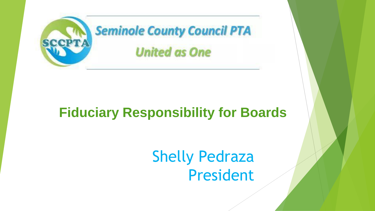

#### **Fiduciary Responsibility for Boards**

#### Shelly Pedraza President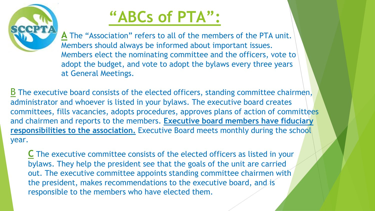

### **"ABCs of PTA":**

**A** The "Association" refers to all of the members of the PTA unit. Members should always be informed about important issues. Members elect the nominating committee and the officers, vote to adopt the budget, and vote to adopt the bylaws every three years at General Meetings.

B The executive board consists of the elected officers, standing committee chairmen, administrator and whoever is listed in your bylaws. The executive board creates committees, fills vacancies, adopts procedures, approves plans of action of committees and chairmen and reports to the members. **Executive board members have fiduciary responsibilities to the association.** Executive Board meets monthly during the school year.

**C** The executive committee consists of the elected officers as listed in your bylaws. They help the president see that the goals of the unit are carried out. The executive committee appoints standing committee chairmen with the president, makes recommendations to the executive board, and is responsible to the members who have elected them.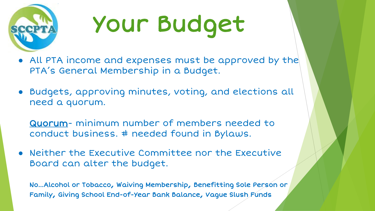

# Your Budget

- All PTA income and expenses must be approved by the PTA's General Membership in a Budget.
- Budgets, approving minutes, voting, and elections all need a quorum.

Quorum- minimum number of members needed to conduct business. # needed found in Bylaws.

● Neither the Executive Committee nor the Executive Board can alter the budget.

No...Alcohol or Tobacco, Waiving Membership, Benefitting Sole Person or Family, Giving School End-of-Year Bank Balance, Vague Slush Funds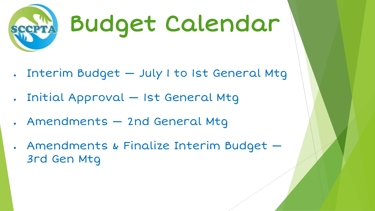

## Budget Calendar

- . Interim Budget July I to 1st General Mtg
- . Initial Approval Ist General Mtg
- Amendments 2nd General Mtg
- . Amendments & Finalize Interim Budget 3rd Gen Mtg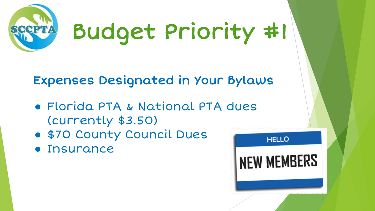

Budget Priority #1

Expenses Designated in Your Bylaws

- Florida PTA & National PTA dues (currently \$3.50)
- \$70 County Council Dues
- Insurance

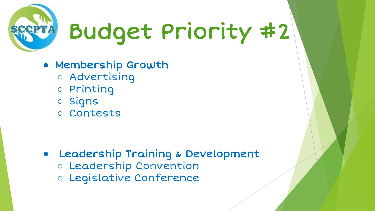

# Budget Priority #2

- Membership Growth
	- Advertising
	- Printing
	- Signs
	- Contests

- Leadership Training & Development
	- Leadership Convention
	- Legislative Conference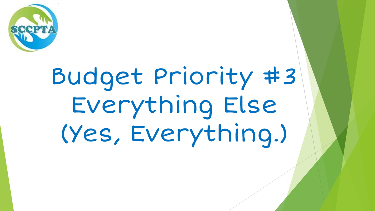

# Budget Priority #3 Everything Else (Yes, Everything.)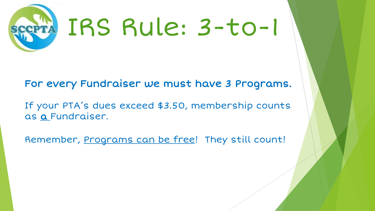

For every Fundraiser we must have 3 Programs.

If your PTA's dues exceed \$3.50, membership counts as a Fundraiser.

Remember, Programs can be free! They still count!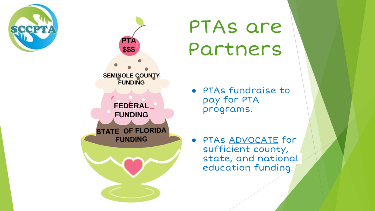



## PTAs are Partners

- PTAs fundraise to pay for PTA programs.
- PTAs ADVOCATE for sufficient county, state, and national education funding.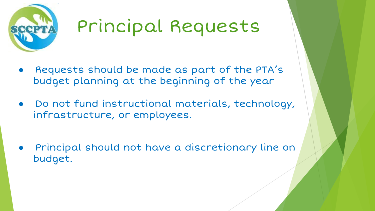

### Principal Requests

- Requests should be made as part of the PTA's budget planning at the beginning of the year
- Do not fund instructional materials, technology, infrastructure, or employees.
- Principal should not have a discretionary line on budget.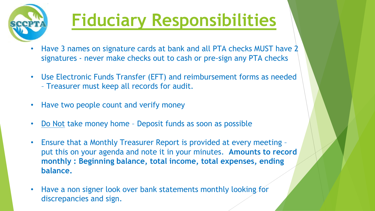

### **Fiduciary Responsibilities**

- Have 3 names on signature cards at bank and all PTA checks MUST have 2 signatures - never make checks out to cash or pre-sign any PTA checks
- Use Electronic Funds Transfer (EFT) and reimbursement forms as needed – Treasurer must keep all records for audit.
- Have two people count and verify money
- Do Not take money home Deposit funds as soon as possible
- Ensure that a Monthly Treasurer Report is provided at every meeting put this on your agenda and note it in your minutes. **Amounts to record monthly : Beginning balance, total income, total expenses, ending balance.**
- Have a non signer look over bank statements monthly looking for discrepancies and sign.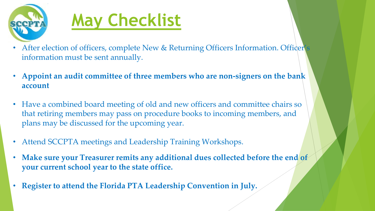

## **May Checklist**

- After election of officers, complete New & Returning Officers Information. Officer's information must be sent annually.
- **Appoint an audit committee of three members who are non-signers on the bank account**
- Have a combined board meeting of old and new officers and committee chairs so that retiring members may pass on procedure books to incoming members, and plans may be discussed for the upcoming year.
- Attend SCCPTA meetings and Leadership Training Workshops.
- **Make sure your Treasurer remits any additional dues collected before the end of your current school year to the state office.**
- **Register to attend the Florida PTA Leadership Convention in July.**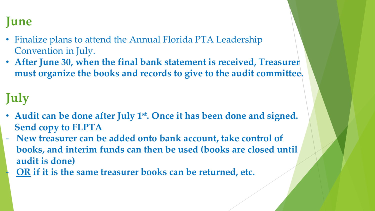#### **June**

- Finalize plans to attend the Annual Florida PTA Leadership Convention in July.
- **After June 30, when the final bank statement is received, Treasurer must organize the books and records to give to the audit committee.**

#### **July**

- **Audit can be done after July 1st. Once it has been done and signed. Send copy to FLPTA**
- **New treasurer can be added onto bank account, take control of books, and interim funds can then be used (books are closed until audit is done)**
	- **OR if it is the same treasurer books can be returned, etc.**